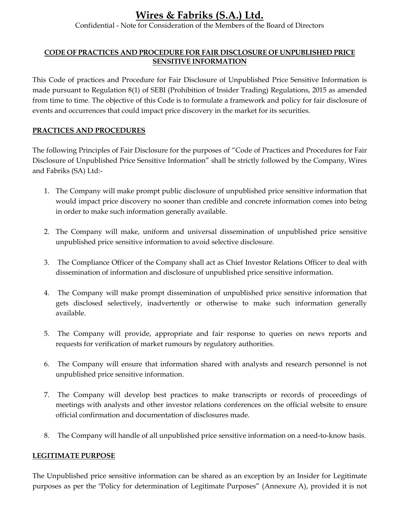Confidential - Note for Consideration of the Members of the Board of Directors

## CODE OF PRACTICES AND PROCEDURE FOR FAIR DISCLOSURE OF UNPUBLISHED PRICE SENSITIVE INFORMATION

This Code of practices and Procedure for Fair Disclosure of Unpublished Price Sensitive Information is made pursuant to Regulation 8(1) of SEBI (Prohibition of Insider Trading) Regulations, 2015 as amended from time to time. The objective of this Code is to formulate a framework and policy for fair disclosure of events and occurrences that could impact price discovery in the market for its securities.

## PRACTICES AND PROCEDURES

The following Principles of Fair Disclosure for the purposes of "Code of Practices and Procedures for Fair Disclosure of Unpublished Price Sensitive Information" shall be strictly followed by the Company, Wires and Fabriks (SA) Ltd:-

- 1. The Company will make prompt public disclosure of unpublished price sensitive information that would impact price discovery no sooner than credible and concrete information comes into being in order to make such information generally available.
- 2. The Company will make, uniform and universal dissemination of unpublished price sensitive unpublished price sensitive information to avoid selective disclosure.
- 3. The Compliance Officer of the Company shall act as Chief Investor Relations Officer to deal with dissemination of information and disclosure of unpublished price sensitive information.
- 4. The Company will make prompt dissemination of unpublished price sensitive information that gets disclosed selectively, inadvertently or otherwise to make such information generally available.
- 5. The Company will provide, appropriate and fair response to queries on news reports and requests for verification of market rumours by regulatory authorities.
- 6. The Company will ensure that information shared with analysts and research personnel is not unpublished price sensitive information.
- 7. The Company will develop best practices to make transcripts or records of proceedings of meetings with analysts and other investor relations conferences on the official website to ensure official confirmation and documentation of disclosures made.
- 8. The Company will handle of all unpublished price sensitive information on a need-to-know basis.

## LEGITIMATE PURPOSE

The Unpublished price sensitive information can be shared as an exception by an Insider for Legitimate purposes as per the "Policy for determination of Legitimate Purposes" (Annexure A), provided it is not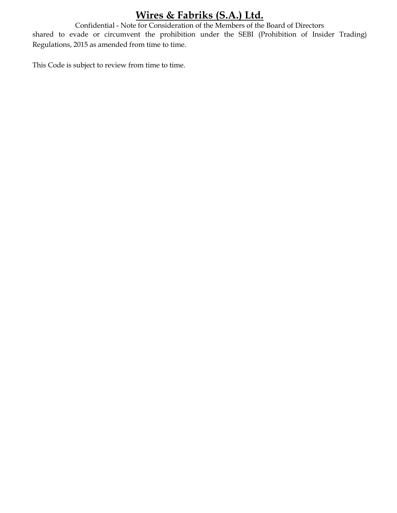Confidential - Note for Consideration of the Members of the Board of Directors shared to evade or circumvent the prohibition under the SEBI (Prohibition of Insider Trading) Regulations, 2015 as amended from time to time.

This Code is subject to review from time to time.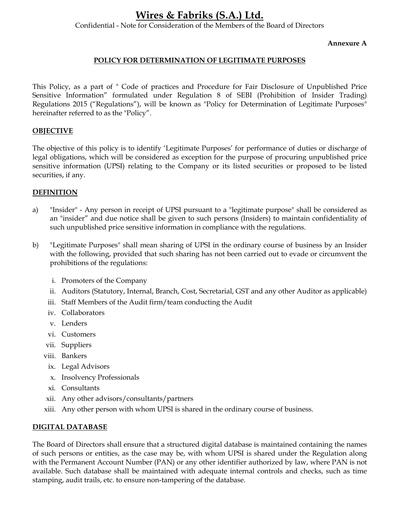Confidential - Note for Consideration of the Members of the Board of Directors

#### Annexure A

## POLICY FOR DETERMINATION OF LEGITIMATE PURPOSES

This Policy, as a part of " Code of practices and Procedure for Fair Disclosure of Unpublished Price Sensitive Information" formulated under Regulation 8 of SEBI (Prohibition of Insider Trading) Regulations 2015 ("Regulations"), will be known as "Policy for Determination of Legitimate Purposes" hereinafter referred to as the "Policy".

### OBJECTIVE

The objective of this policy is to identify 'Legitimate Purposes' for performance of duties or discharge of legal obligations, which will be considered as exception for the purpose of procuring unpublished price sensitive information (UPSI) relating to the Company or its listed securities or proposed to be listed securities, if any.

### DEFINITION

- a) "Insider" Any person in receipt of UPSI pursuant to a "legitimate purpose" shall be considered as an "insider" and due notice shall be given to such persons (Insiders) to maintain confidentiality of such unpublished price sensitive information in compliance with the regulations.
- b) "Legitimate Purposes" shall mean sharing of UPSI in the ordinary course of business by an Insider with the following, provided that such sharing has not been carried out to evade or circumvent the prohibitions of the regulations:
	- i. Promoters of the Company
	- ii. Auditors (Statutory, Internal, Branch, Cost, Secretarial, GST and any other Auditor as applicable)
	- iii. Staff Members of the Audit firm/team conducting the Audit
	- iv. Collaborators
	- v. Lenders
	- vi. Customers
	- vii. Suppliers
	- viii. Bankers
	- ix. Legal Advisors
	- x. Insolvency Professionals
	- xi. Consultants
	- xii. Any other advisors/consultants/partners
	- xiii. Any other person with whom UPSI is shared in the ordinary course of business.

#### DIGITAL DATABASE

The Board of Directors shall ensure that a structured digital database is maintained containing the names of such persons or entities, as the case may be, with whom UPSI is shared under the Regulation along with the Permanent Account Number (PAN) or any other identifier authorized by law, where PAN is not available. Such database shall be maintained with adequate internal controls and checks, such as time stamping, audit trails, etc. to ensure non-tampering of the database.